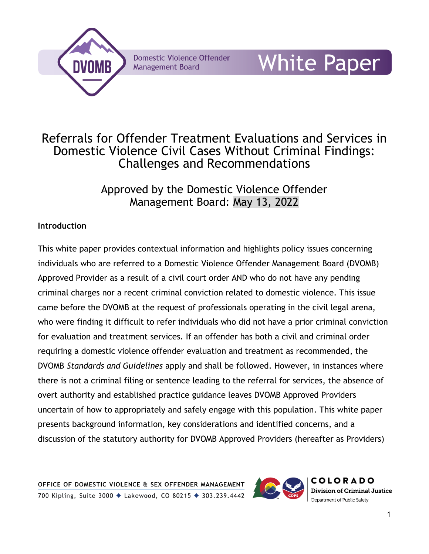

**Domestic Violence Offender Management Board** 

# White Paper

# Referrals for Offender Treatment Evaluations and Services in Domestic Violence Civil Cases Without Criminal Findings: Challenges and Recommendations

Approved by the Domestic Violence Offender Management Board: May 13, 2022

## **Introduction**

This white paper provides contextual information and highlights policy issues concerning individuals who are referred to a Domestic Violence Offender Management Board (DVOMB) Approved Provider as a result of a civil court order AND who do not have any pending criminal charges nor a recent criminal conviction related to domestic violence. This issue came before the DVOMB at the request of professionals operating in the civil legal arena, who were finding it difficult to refer individuals who did not have a prior criminal conviction for evaluation and treatment services. If an offender has both a civil and criminal order requiring a domestic violence offender evaluation and treatment as recommended, the DVOMB *Standards and Guidelines* apply and shall be followed. However, in instances where there is not a criminal filing or sentence leading to the referral for services, the absence of overt authority and established practice guidance leaves DVOMB Approved Providers uncertain of how to appropriately and safely engage with this population. This white paper presents background information, key considerations and identified concerns, and a discussion of the statutory authority for DVOMB Approved Providers (hereafter as Providers)



**COLORADO Division of Criminal Justice** Department of Public Safety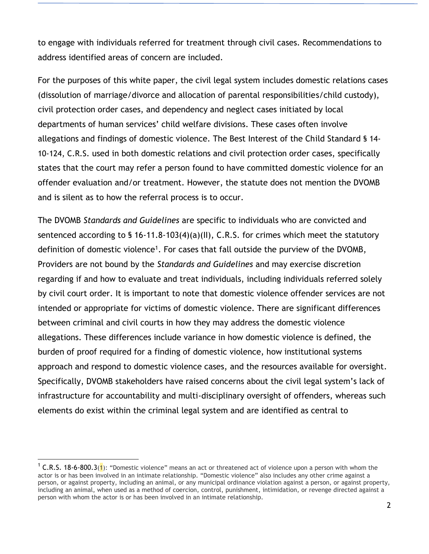to engage with individuals referred for treatment through civil cases. Recommendations to address identified areas of concern are included.

For the purposes of this white paper, the civil legal system includes domestic relations cases (dissolution of marriage/divorce and allocation of parental responsibilities/child custody), civil protection order cases, and dependency and neglect cases initiated by local departments of human services' child welfare divisions. These cases often involve allegations and findings of domestic violence. The Best Interest of the Child Standard § 14- 10-124, C.R.S. used in both domestic relations and civil protection order cases, specifically states that the court may refer a person found to have committed domestic violence for an offender evaluation and/or treatment. However, the statute does not mention the DVOMB and is silent as to how the referral process is to occur.

The DVOMB *Standards and Guidelines* are specific to individuals who are convicted and sentenced according to § 16-11.8-103(4)(a)(II), C.R.S. for crimes which meet the statutory definition of domestic violence<sup>1</sup>. For cases that fall outside the purview of the DVOMB, Providers are not bound by the *Standards and Guidelines* and may exercise discretion regarding if and how to evaluate and treat individuals, including individuals referred solely by civil court order. It is important to note that domestic violence offender services are not intended or appropriate for victims of domestic violence. There are significant differences between criminal and civil courts in how they may address the domestic violence allegations. These differences include variance in how domestic violence is defined, the burden of proof required for a finding of domestic violence, how institutional systems approach and respond to domestic violence cases, and the resources available for oversight. Specifically, DVOMB stakeholders have raised concerns about the civil legal system's lack of infrastructure for accountability and multi-disciplinary oversight of offenders, whereas such elements do exist within the criminal legal system and are identified as central to

<sup>&</sup>lt;sup>1</sup> C.R.S. 18-6-800.3(1): "Domestic violence" means an act or threatened act of violence upon a person with whom the actor is or has been involved in an intimate relationship. "Domestic violence" also includes any other crime against a person, or against property, including an animal, or any municipal ordinance violation against a person, or against property, including an animal, when used as a method of coercion, control, punishment, intimidation, or revenge directed against a person with whom the actor is or has been involved in an intimate relationship.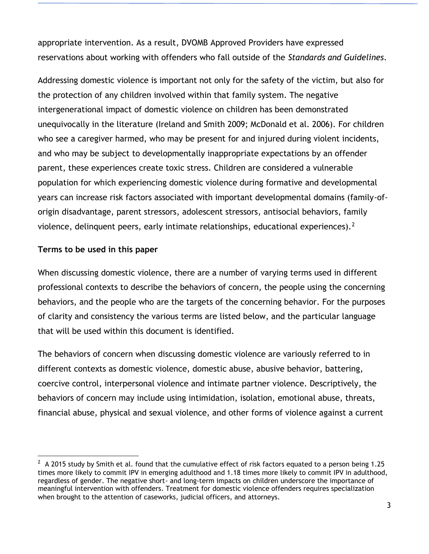appropriate intervention. As a result, DVOMB Approved Providers have expressed reservations about working with offenders who fall outside of the *Standards and Guidelines*.

Addressing domestic violence is important not only for the safety of the victim, but also for the protection of any children involved within that family system. The negative intergenerational impact of domestic violence on children has been demonstrated unequivocally in the literature (Ireland and Smith 2009; McDonald et al. 2006). For children who see a caregiver harmed, who may be present for and injured during violent incidents, and who may be subject to developmentally inappropriate expectations by an offender parent, these experiences create toxic stress. Children are considered a vulnerable population for which experiencing domestic violence during formative and developmental years can increase risk factors associated with important developmental domains (family-oforigin disadvantage, parent stressors, adolescent stressors, antisocial behaviors, family violence, delinquent peers, early intimate relationships, educational experiences).  $2^2$ 

#### **Terms to be used in this paper**

When discussing domestic violence, there are a number of varying terms used in different professional contexts to describe the behaviors of concern, the people using the concerning behaviors, and the people who are the targets of the concerning behavior. For the purposes of clarity and consistency the various terms are listed below, and the particular language that will be used within this document is identified.

The behaviors of concern when discussing domestic violence are variously referred to in different contexts as domestic violence, domestic abuse, abusive behavior, battering, coercive control, interpersonal violence and intimate partner violence. Descriptively, the behaviors of concern may include using intimidation, isolation, emotional abuse, threats, financial abuse, physical and sexual violence, and other forms of violence against a current

 $^2$  A 2015 study by Smith et al. found that the cumulative effect of risk factors equated to a person being 1.25 times more likely to commit IPV in emerging adulthood and 1.18 times more likely to commit IPV in adulthood, regardless of gender. The negative short- and long-term impacts on children underscore the importance of meaningful intervention with offenders. Treatment for domestic violence offenders requires specialization when brought to the attention of caseworks, judicial officers, and attorneys.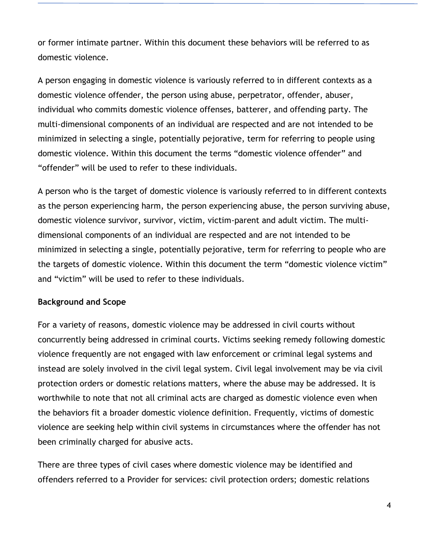or former intimate partner. Within this document these behaviors will be referred to as domestic violence.

A person engaging in domestic violence is variously referred to in different contexts as a domestic violence offender, the person using abuse, perpetrator, offender, abuser, individual who commits domestic violence offenses, batterer, and offending party. The multi-dimensional components of an individual are respected and are not intended to be minimized in selecting a single, potentially pejorative, term for referring to people using domestic violence. Within this document the terms "domestic violence offender" and "offender" will be used to refer to these individuals.

A person who is the target of domestic violence is variously referred to in different contexts as the person experiencing harm, the person experiencing abuse, the person surviving abuse, domestic violence survivor, survivor, victim, victim-parent and adult victim. The multidimensional components of an individual are respected and are not intended to be minimized in selecting a single, potentially pejorative, term for referring to people who are the targets of domestic violence. Within this document the term "domestic violence victim" and "victim" will be used to refer to these individuals.

#### **Background and Scope**

For a variety of reasons, domestic violence may be addressed in civil courts without concurrently being addressed in criminal courts. Victims seeking remedy following domestic violence frequently are not engaged with law enforcement or criminal legal systems and instead are solely involved in the civil legal system. Civil legal involvement may be via civil protection orders or domestic relations matters, where the abuse may be addressed. It is worthwhile to note that not all criminal acts are charged as domestic violence even when the behaviors fit a broader domestic violence definition. Frequently, victims of domestic violence are seeking help within civil systems in circumstances where the offender has not been criminally charged for abusive acts.

There are three types of civil cases where domestic violence may be identified and offenders referred to a Provider for services: civil protection orders; domestic relations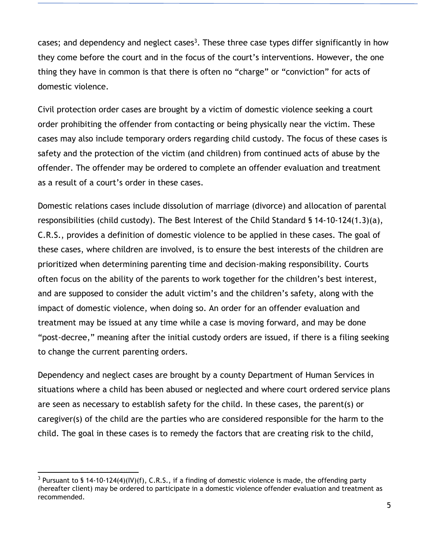cases; and dependency and neglect cases<sup>3</sup>. These three case types differ significantly in how they come before the court and in the focus of the court's interventions. However, the one thing they have in common is that there is often no "charge" or "conviction" for acts of domestic violence.

Civil protection order cases are brought by a victim of domestic violence seeking a court order prohibiting the offender from contacting or being physically near the victim. These cases may also include temporary orders regarding child custody. The focus of these cases is safety and the protection of the victim (and children) from continued acts of abuse by the offender. The offender may be ordered to complete an offender evaluation and treatment as a result of a court's order in these cases.

Domestic relations cases include dissolution of marriage (divorce) and allocation of parental responsibilities (child custody). The Best Interest of the Child Standard § 14-10-124(1.3)(a), C.R.S., provides a definition of domestic violence to be applied in these cases. The goal of these cases, where children are involved, is to ensure the best interests of the children are prioritized when determining parenting time and decision-making responsibility. Courts often focus on the ability of the parents to work together for the children's best interest, and are supposed to consider the adult victim's and the children's safety, along with the impact of domestic violence, when doing so. An order for an offender evaluation and treatment may be issued at any time while a case is moving forward, and may be done "post-decree," meaning after the initial custody orders are issued, if there is a filing seeking to change the current parenting orders.

Dependency and neglect cases are brought by a county Department of Human Services in situations where a child has been abused or neglected and where court ordered service plans are seen as necessary to establish safety for the child. In these cases, the parent(s) or caregiver(s) of the child are the parties who are considered responsible for the harm to the child. The goal in these cases is to remedy the factors that are creating risk to the child,

<sup>&</sup>lt;sup>3</sup> Pursuant to § 14-10-124(4)(IV)(f), C.R.S., if a finding of domestic violence is made, the offending party (hereafter client) may be ordered to participate in a domestic violence offender evaluation and treatment as recommended.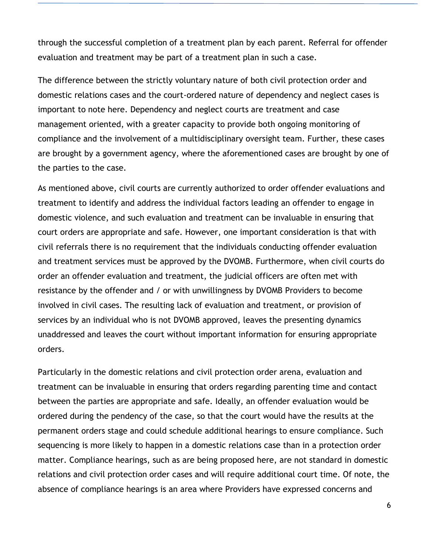through the successful completion of a treatment plan by each parent. Referral for offender evaluation and treatment may be part of a treatment plan in such a case.

The difference between the strictly voluntary nature of both civil protection order and domestic relations cases and the court-ordered nature of dependency and neglect cases is important to note here. Dependency and neglect courts are treatment and case management oriented, with a greater capacity to provide both ongoing monitoring of compliance and the involvement of a multidisciplinary oversight team. Further, these cases are brought by a government agency, where the aforementioned cases are brought by one of the parties to the case.

As mentioned above, civil courts are currently authorized to order offender evaluations and treatment to identify and address the individual factors leading an offender to engage in domestic violence, and such evaluation and treatment can be invaluable in ensuring that court orders are appropriate and safe. However, one important consideration is that with civil referrals there is no requirement that the individuals conducting offender evaluation and treatment services must be approved by the DVOMB. Furthermore, when civil courts do order an offender evaluation and treatment, the judicial officers are often met with resistance by the offender and / or with unwillingness by DVOMB Providers to become involved in civil cases. The resulting lack of evaluation and treatment, or provision of services by an individual who is not DVOMB approved, leaves the presenting dynamics unaddressed and leaves the court without important information for ensuring appropriate orders.

Particularly in the domestic relations and civil protection order arena, evaluation and treatment can be invaluable in ensuring that orders regarding parenting time and contact between the parties are appropriate and safe. Ideally, an offender evaluation would be ordered during the pendency of the case, so that the court would have the results at the permanent orders stage and could schedule additional hearings to ensure compliance. Such sequencing is more likely to happen in a domestic relations case than in a protection order matter. Compliance hearings, such as are being proposed here, are not standard in domestic relations and civil protection order cases and will require additional court time. Of note, the absence of compliance hearings is an area where Providers have expressed concerns and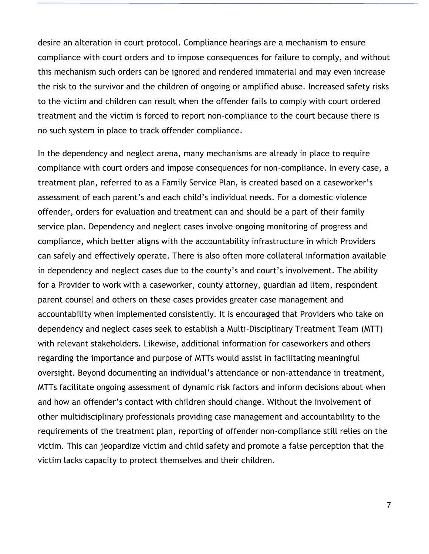desire an alteration in court protocol. Compliance hearings are a mechanism to ensure compliance with court orders and to impose consequences for failure to comply, and without this mechanism such orders can be ignored and rendered immaterial and may even increase the risk to the survivor and the children of ongoing or amplified abuse. Increased safety risks to the victim and children can result when the offender fails to comply with court ordered treatment and the victim is forced to report non-compliance to the court because there is no such system in place to track offender compliance.

In the dependency and neglect arena, many mechanisms are already in place to require compliance with court orders and impose consequences for non-compliance. In every case, a treatment plan, referred to as a Family Service Plan, is created based on a caseworker's assessment of each parent's and each child's individual needs. For a domestic violence offender, orders for evaluation and treatment can and should be a part of their family service plan. Dependency and neglect cases involve ongoing monitoring of progress and compliance, which better aligns with the accountability infrastructure in which Providers can safely and effectively operate. There is also often more collateral information available in dependency and neglect cases due to the county's and court's involvement. The ability for a Provider to work with a caseworker, county attorney, guardian ad litem, respondent parent counsel and others on these cases provides greater case management and accountability when implemented consistently. It is encouraged that Providers who take on dependency and neglect cases seek to establish a Multi-Disciplinary Treatment Team (MTT) with relevant stakeholders. Likewise, additional information for caseworkers and others regarding the importance and purpose of MTTs would assist in facilitating meaningful oversight. Beyond documenting an individual's attendance or non-attendance in treatment, MTTs facilitate ongoing assessment of dynamic risk factors and inform decisions about when and how an offender's contact with children should change. Without the involvement of other multidisciplinary professionals providing case management and accountability to the requirements of the treatment plan, reporting of offender non-compliance still relies on the victim. This can jeopardize victim and child safety and promote a false perception that the victim lacks capacity to protect themselves and their children.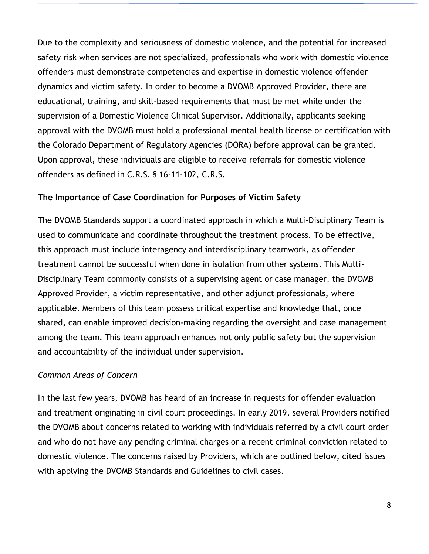Due to the complexity and seriousness of domestic violence, and the potential for increased safety risk when services are not specialized, professionals who work with domestic violence offenders must demonstrate competencies and expertise in domestic violence offender dynamics and victim safety. In order to become a DVOMB Approved Provider, there are educational, training, and skill-based requirements that must be met while under the supervision of a Domestic Violence Clinical Supervisor. Additionally, applicants seeking approval with the DVOMB must hold a professional mental health license or certification with the Colorado Department of Regulatory Agencies (DORA) before approval can be granted. Upon approval, these individuals are eligible to receive referrals for domestic violence offenders as defined in C.R.S. § 16-11-102, C.R.S.

#### **The Importance of Case Coordination for Purposes of Victim Safety**

The DVOMB Standards support a coordinated approach in which a Multi-Disciplinary Team is used to communicate and coordinate throughout the treatment process. To be effective, this approach must include interagency and interdisciplinary teamwork, as offender treatment cannot be successful when done in isolation from other systems. This Multi-Disciplinary Team commonly consists of a supervising agent or case manager, the DVOMB Approved Provider, a victim representative, and other adjunct professionals, where applicable. Members of this team possess critical expertise and knowledge that, once shared, can enable improved decision-making regarding the oversight and case management among the team. This team approach enhances not only public safety but the supervision and accountability of the individual under supervision.

#### *Common Areas of Concern*

In the last few years, DVOMB has heard of an increase in requests for offender evaluation and treatment originating in civil court proceedings. In early 2019, several Providers notified the DVOMB about concerns related to working with individuals referred by a civil court order and who do not have any pending criminal charges or a recent criminal conviction related to domestic violence. The concerns raised by Providers, which are outlined below, cited issues with applying the DVOMB Standards and Guidelines to civil cases.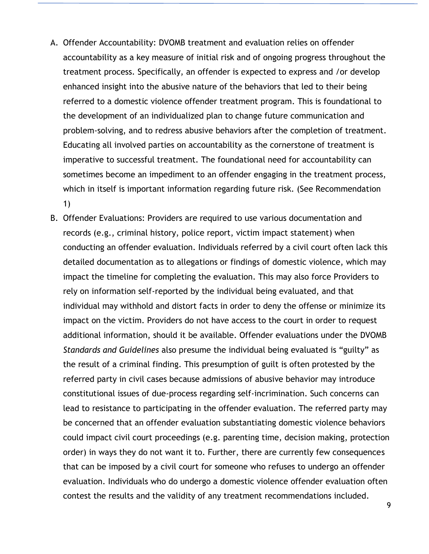- A. Offender Accountability: DVOMB treatment and evaluation relies on offender accountability as a key measure of initial risk and of ongoing progress throughout the treatment process. Specifically, an offender is expected to express and /or develop enhanced insight into the abusive nature of the behaviors that led to their being referred to a domestic violence offender treatment program. This is foundational to the development of an individualized plan to change future communication and problem-solving, and to redress abusive behaviors after the completion of treatment. Educating all involved parties on accountability as the cornerstone of treatment is imperative to successful treatment. The foundational need for accountability can sometimes become an impediment to an offender engaging in the treatment process, which in itself is important information regarding future risk. (See Recommendation 1)
- B. Offender Evaluations: Providers are required to use various documentation and records (e.g., criminal history, police report, victim impact statement) when conducting an offender evaluation. Individuals referred by a civil court often lack this detailed documentation as to allegations or findings of domestic violence, which may impact the timeline for completing the evaluation. This may also force Providers to rely on information self-reported by the individual being evaluated, and that individual may withhold and distort facts in order to deny the offense or minimize its impact on the victim. Providers do not have access to the court in order to request additional information, should it be available. Offender evaluations under the DVOMB *Standards and Guidelines* also presume the individual being evaluated is "guilty" as the result of a criminal finding. This presumption of guilt is often protested by the referred party in civil cases because admissions of abusive behavior may introduce constitutional issues of due-process regarding self-incrimination. Such concerns can lead to resistance to participating in the offender evaluation. The referred party may be concerned that an offender evaluation substantiating domestic violence behaviors could impact civil court proceedings (e.g. parenting time, decision making, protection order) in ways they do not want it to. Further, there are currently few consequences that can be imposed by a civil court for someone who refuses to undergo an offender evaluation. Individuals who do undergo a domestic violence offender evaluation often contest the results and the validity of any treatment recommendations included.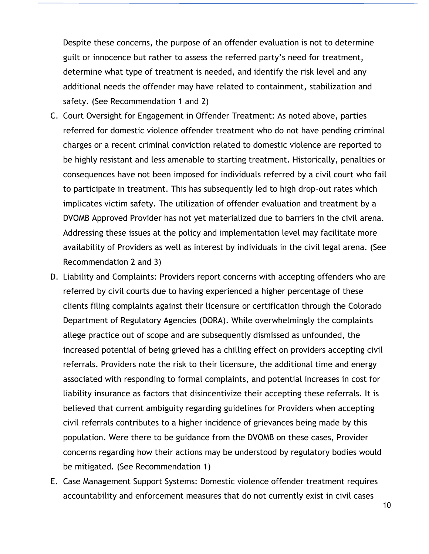Despite these concerns, the purpose of an offender evaluation is not to determine guilt or innocence but rather to assess the referred party's need for treatment, determine what type of treatment is needed, and identify the risk level and any additional needs the offender may have related to containment, stabilization and safety. (See Recommendation 1 and 2)

- C. Court Oversight for Engagement in Offender Treatment: As noted above, parties referred for domestic violence offender treatment who do not have pending criminal charges or a recent criminal conviction related to domestic violence are reported to be highly resistant and less amenable to starting treatment. Historically, penalties or consequences have not been imposed for individuals referred by a civil court who fail to participate in treatment. This has subsequently led to high drop-out rates which implicates victim safety. The utilization of offender evaluation and treatment by a DVOMB Approved Provider has not yet materialized due to barriers in the civil arena. Addressing these issues at the policy and implementation level may facilitate more availability of Providers as well as interest by individuals in the civil legal arena. (See Recommendation 2 and 3)
- D. Liability and Complaints: Providers report concerns with accepting offenders who are referred by civil courts due to having experienced a higher percentage of these clients filing complaints against their licensure or certification through the Colorado Department of Regulatory Agencies (DORA). While overwhelmingly the complaints allege practice out of scope and are subsequently dismissed as unfounded, the increased potential of being grieved has a chilling effect on providers accepting civil referrals. Providers note the risk to their licensure, the additional time and energy associated with responding to formal complaints, and potential increases in cost for liability insurance as factors that disincentivize their accepting these referrals. It is believed that current ambiguity regarding guidelines for Providers when accepting civil referrals contributes to a higher incidence of grievances being made by this population. Were there to be guidance from the DVOMB on these cases, Provider concerns regarding how their actions may be understood by regulatory bodies would be mitigated. (See Recommendation 1)
- E. Case Management Support Systems: Domestic violence offender treatment requires accountability and enforcement measures that do not currently exist in civil cases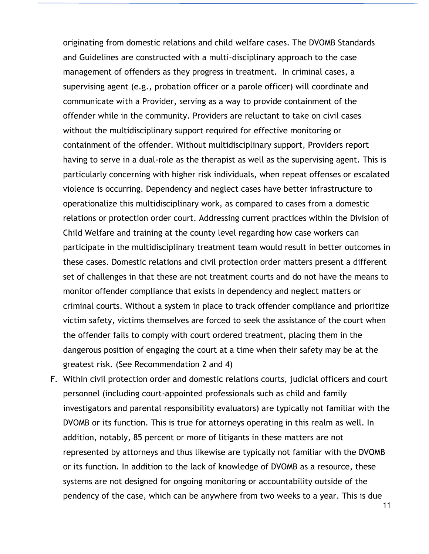originating from domestic relations and child welfare cases. The DVOMB Standards and Guidelines are constructed with a multi-disciplinary approach to the case management of offenders as they progress in treatment. In criminal cases, a supervising agent (e.g., probation officer or a parole officer) will coordinate and communicate with a Provider, serving as a way to provide containment of the offender while in the community. Providers are reluctant to take on civil cases without the multidisciplinary support required for effective monitoring or containment of the offender. Without multidisciplinary support, Providers report having to serve in a dual-role as the therapist as well as the supervising agent. This is particularly concerning with higher risk individuals, when repeat offenses or escalated violence is occurring. Dependency and neglect cases have better infrastructure to operationalize this multidisciplinary work, as compared to cases from a domestic relations or protection order court. Addressing current practices within the Division of Child Welfare and training at the county level regarding how case workers can participate in the multidisciplinary treatment team would result in better outcomes in these cases. Domestic relations and civil protection order matters present a different set of challenges in that these are not treatment courts and do not have the means to monitor offender compliance that exists in dependency and neglect matters or criminal courts. Without a system in place to track offender compliance and prioritize victim safety, victims themselves are forced to seek the assistance of the court when the offender fails to comply with court ordered treatment, placing them in the dangerous position of engaging the court at a time when their safety may be at the greatest risk. (See Recommendation 2 and 4)

F. Within civil protection order and domestic relations courts, judicial officers and court personnel (including court-appointed professionals such as child and family investigators and parental responsibility evaluators) are typically not familiar with the DVOMB or its function. This is true for attorneys operating in this realm as well. In addition, notably, 85 percent or more of litigants in these matters are not represented by attorneys and thus likewise are typically not familiar with the DVOMB or its function. In addition to the lack of knowledge of DVOMB as a resource, these systems are not designed for ongoing monitoring or accountability outside of the pendency of the case, which can be anywhere from two weeks to a year. This is due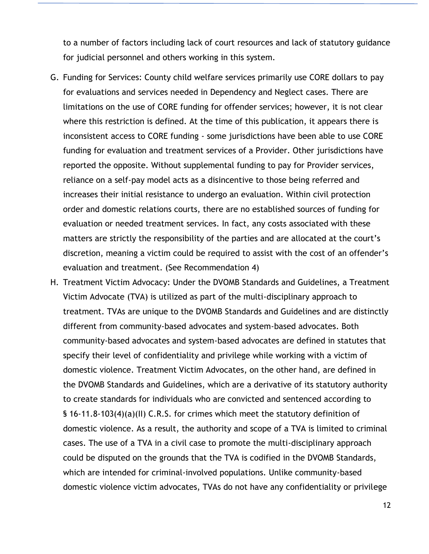to a number of factors including lack of court resources and lack of statutory guidance for judicial personnel and others working in this system.

- G. Funding for Services: County child welfare services primarily use CORE dollars to pay for evaluations and services needed in Dependency and Neglect cases. There are limitations on the use of CORE funding for offender services; however, it is not clear where this restriction is defined. At the time of this publication, it appears there is inconsistent access to CORE funding - some jurisdictions have been able to use CORE funding for evaluation and treatment services of a Provider. Other jurisdictions have reported the opposite. Without supplemental funding to pay for Provider services, reliance on a self-pay model acts as a disincentive to those being referred and increases their initial resistance to undergo an evaluation. Within civil protection order and domestic relations courts, there are no established sources of funding for evaluation or needed treatment services. In fact, any costs associated with these matters are strictly the responsibility of the parties and are allocated at the court's discretion, meaning a victim could be required to assist with the cost of an offender's evaluation and treatment. (See Recommendation 4)
- H. Treatment Victim Advocacy: Under the DVOMB Standards and Guidelines, a Treatment Victim Advocate (TVA) is utilized as part of the multi-disciplinary approach to treatment. TVAs are unique to the DVOMB Standards and Guidelines and are distinctly different from community-based advocates and system-based advocates. Both community-based advocates and system-based advocates are defined in statutes that specify their level of confidentiality and privilege while working with a victim of domestic violence. Treatment Victim Advocates, on the other hand, are defined in the DVOMB Standards and Guidelines, which are a derivative of its statutory authority to create standards for individuals who are convicted and sentenced according to § 16-11.8-103(4)(a)(II) C.R.S. for crimes which meet the statutory definition of domestic violence. As a result, the authority and scope of a TVA is limited to criminal cases. The use of a TVA in a civil case to promote the multi-disciplinary approach could be disputed on the grounds that the TVA is codified in the DVOMB Standards, which are intended for criminal-involved populations. Unlike community-based domestic violence victim advocates, TVAs do not have any confidentiality or privilege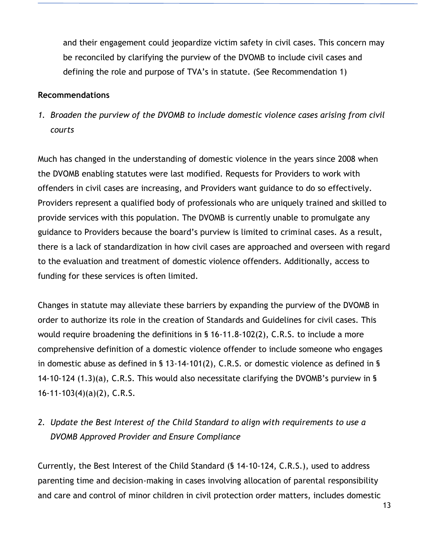and their engagement could jeopardize victim safety in civil cases. This concern may be reconciled by clarifying the purview of the DVOMB to include civil cases and defining the role and purpose of TVA's in statute. (See Recommendation 1)

#### **Recommendations**

*1. Broaden the purview of the DVOMB to include domestic violence cases arising from civil courts* 

Much has changed in the understanding of domestic violence in the years since 2008 when the DVOMB enabling statutes were last modified. Requests for Providers to work with offenders in civil cases are increasing, and Providers want guidance to do so effectively. Providers represent a qualified body of professionals who are uniquely trained and skilled to provide services with this population. The DVOMB is currently unable to promulgate any guidance to Providers because the board's purview is limited to criminal cases. As a result, there is a lack of standardization in how civil cases are approached and overseen with regard to the evaluation and treatment of domestic violence offenders. Additionally, access to funding for these services is often limited.

Changes in statute may alleviate these barriers by expanding the purview of the DVOMB in order to authorize its role in the creation of Standards and Guidelines for civil cases. This would require broadening the definitions in § 16-11.8-102(2), C.R.S. to include a more comprehensive definition of a domestic violence offender to include someone who engages in domestic abuse as defined in § 13-14-101(2), C.R.S. or domestic violence as defined in § 14-10-124 (1.3)(a), C.R.S. This would also necessitate clarifying the DVOMB's purview in § 16-11-103(4)(a)(2), C.R.S.

## *2. Update the Best Interest of the Child Standard to align with requirements to use a DVOMB Approved Provider and Ensure Compliance*

Currently, the Best Interest of the Child Standard (§ 14-10-124, C.R.S.), used to address parenting time and decision-making in cases involving allocation of parental responsibility and care and control of minor children in civil protection order matters, includes domestic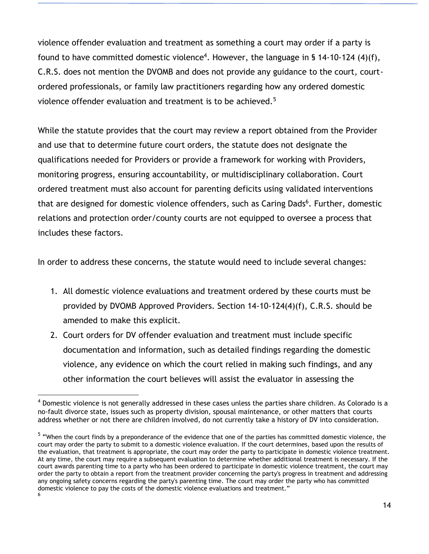violence offender evaluation and treatment as something a court may order if a party is found to have committed domestic violence<sup>4</sup>. However, the language in § 14-10-124 (4)(f), C.R.S. does not mention the DVOMB and does not provide any guidance to the court, courtordered professionals, or family law practitioners regarding how any ordered domestic violence offender evaluation and treatment is to be achieved.<sup>5</sup>

While the statute provides that the court may review a report obtained from the Provider and use that to determine future court orders, the statute does not designate the qualifications needed for Providers or provide a framework for working with Providers, monitoring progress, ensuring accountability, or multidisciplinary collaboration. Court ordered treatment must also account for parenting deficits using validated interventions that are designed for domestic violence offenders, such as Caring Dads<sup>6</sup>. Further, domestic relations and protection order/county courts are not equipped to oversee a process that includes these factors.

In order to address these concerns, the statute would need to include several changes:

- 1. All domestic violence evaluations and treatment ordered by these courts must be provided by DVOMB Approved Providers. Section 14-10-124(4)(f), C.R.S. should be amended to make this explicit.
- 2. Court orders for DV offender evaluation and treatment must include specific documentation and information, such as detailed findings regarding the domestic violence, any evidence on which the court relied in making such findings, and any other information the court believes will assist the evaluator in assessing the

 $\overline{a}$ 

<sup>&</sup>lt;sup>4</sup> Domestic violence is not generally addressed in these cases unless the parties share children. As Colorado is a no-fault divorce state, issues such as property division, spousal maintenance, or other matters that courts address whether or not there are children involved, do not currently take a history of DV into consideration.

<sup>&</sup>lt;sup>5</sup> "When the court finds by a preponderance of the evidence that one of the parties has committed domestic violence, the court may order the party to submit to a domestic violence evaluation. If the court determines, based upon the results of the evaluation, that treatment is appropriate, the court may order the party to participate in domestic violence treatment. At any time, the court may require a subsequent evaluation to determine whether additional treatment is necessary. If the court awards parenting time to a party who has been ordered to participate in domestic violence treatment, the court may order the party to obtain a report from the treatment provider concerning the party's progress in treatment and addressing any ongoing safety concerns regarding the party's parenting time. The court may order the party who has committed domestic violence to pay the costs of the domestic violence evaluations and treatment." 6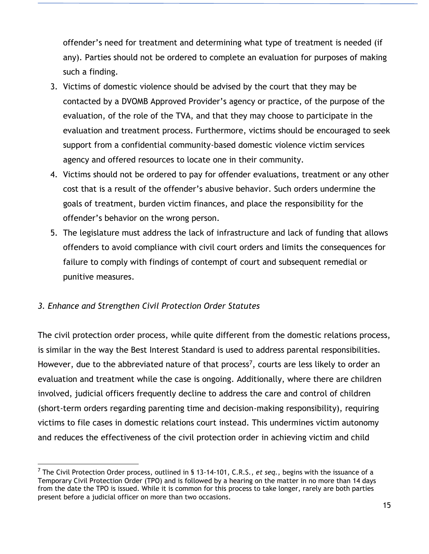offender's need for treatment and determining what type of treatment is needed (if any). Parties should not be ordered to complete an evaluation for purposes of making such a finding.

- 3. Victims of domestic violence should be advised by the court that they may be contacted by a DVOMB Approved Provider's agency or practice, of the purpose of the evaluation, of the role of the TVA, and that they may choose to participate in the evaluation and treatment process. Furthermore, victims should be encouraged to seek support from a confidential community-based domestic violence victim services agency and offered resources to locate one in their community.
- 4. Victims should not be ordered to pay for offender evaluations, treatment or any other cost that is a result of the offender's abusive behavior. Such orders undermine the goals of treatment, burden victim finances, and place the responsibility for the offender's behavior on the wrong person.
- 5. The legislature must address the lack of infrastructure and lack of funding that allows offenders to avoid compliance with civil court orders and limits the consequences for failure to comply with findings of contempt of court and subsequent remedial or punitive measures.

### *3. Enhance and Strengthen Civil Protection Order Statutes*

The civil protection order process, while quite different from the domestic relations process, is similar in the way the Best Interest Standard is used to address parental responsibilities. However, due to the abbreviated nature of that process<sup>7</sup>, courts are less likely to order an evaluation and treatment while the case is ongoing. Additionally, where there are children involved, judicial officers frequently decline to address the care and control of children (short-term orders regarding parenting time and decision-making responsibility), requiring victims to file cases in domestic relations court instead. This undermines victim autonomy and reduces the effectiveness of the civil protection order in achieving victim and child

<sup>7</sup> The Civil Protection Order process, outlined in § 13-14-101, C.R.S., *et seq.,* begins with the issuance of a Temporary Civil Protection Order (TPO) and is followed by a hearing on the matter in no more than 14 days from the date the TPO is issued. While it is common for this process to take longer, rarely are both parties present before a judicial officer on more than two occasions.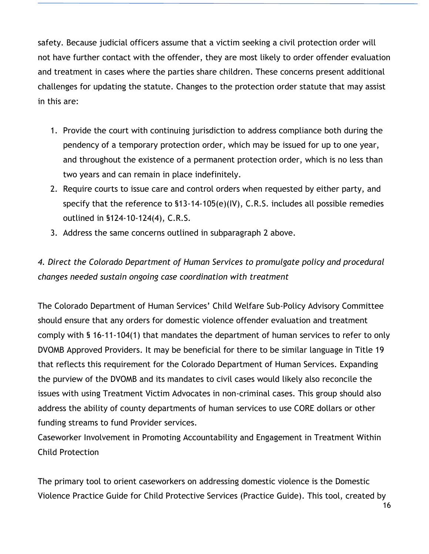safety. Because judicial officers assume that a victim seeking a civil protection order will not have further contact with the offender, they are most likely to order offender evaluation and treatment in cases where the parties share children. These concerns present additional challenges for updating the statute. Changes to the protection order statute that may assist in this are:

- 1. Provide the court with continuing jurisdiction to address compliance both during the pendency of a temporary protection order, which may be issued for up to one year, and throughout the existence of a permanent protection order, which is no less than two years and can remain in place indefinitely.
- 2. Require courts to issue care and control orders when requested by either party, and specify that the reference to §13-14-105(e)(IV), C.R.S. includes all possible remedies outlined in §124-10-124(4), C.R.S.
- 3. Address the same concerns outlined in subparagraph 2 above.

## *4. Direct the Colorado Department of Human Services to promulgate policy and procedural changes needed sustain ongoing case coordination with treatment*

The Colorado Department of Human Services' Child Welfare Sub-Policy Advisory Committee should ensure that any orders for domestic violence offender evaluation and treatment comply with § 16-11-104(1) that mandates the department of human services to refer to only DVOMB Approved Providers. It may be beneficial for there to be similar language in Title 19 that reflects this requirement for the Colorado Department of Human Services. Expanding the purview of the DVOMB and its mandates to civil cases would likely also reconcile the issues with using Treatment Victim Advocates in non-criminal cases. This group should also address the ability of county departments of human services to use CORE dollars or other funding streams to fund Provider services.

Caseworker Involvement in Promoting Accountability and Engagement in Treatment Within Child Protection

The primary tool to orient caseworkers on addressing domestic violence is the Domestic Violence Practice Guide for Child Protective Services (Practice Guide). This tool, created by